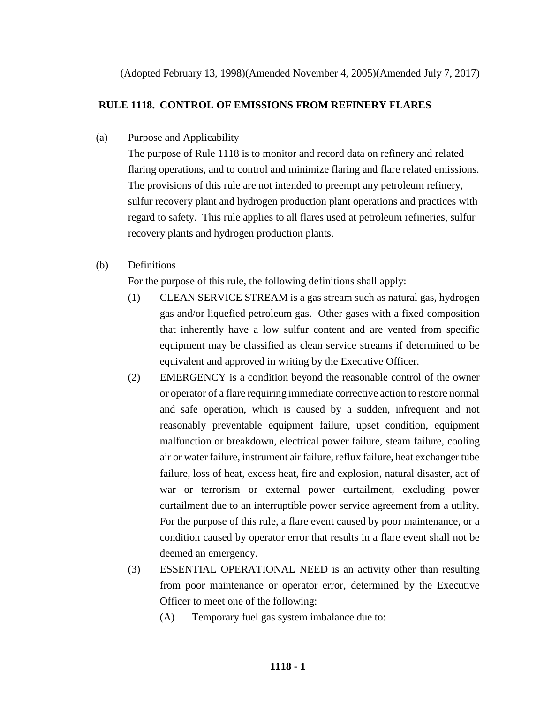(Adopted February 13, 1998)(Amended November 4, 2005)(Amended July 7, 2017)

# **RULE 1118. CONTROL OF EMISSIONS FROM REFINERY FLARES**

(a) Purpose and Applicability

The purpose of Rule 1118 is to monitor and record data on refinery and related flaring operations, and to control and minimize flaring and flare related emissions. The provisions of this rule are not intended to preempt any petroleum refinery, sulfur recovery plant and hydrogen production plant operations and practices with regard to safety. This rule applies to all flares used at petroleum refineries, sulfur recovery plants and hydrogen production plants.

(b) Definitions

For the purpose of this rule, the following definitions shall apply:

- (1) CLEAN SERVICE STREAM is a gas stream such as natural gas, hydrogen gas and/or liquefied petroleum gas. Other gases with a fixed composition that inherently have a low sulfur content and are vented from specific equipment may be classified as clean service streams if determined to be equivalent and approved in writing by the Executive Officer.
- (2) EMERGENCY is a condition beyond the reasonable control of the owner or operator of a flare requiring immediate corrective action to restore normal and safe operation, which is caused by a sudden, infrequent and not reasonably preventable equipment failure, upset condition, equipment malfunction or breakdown, electrical power failure, steam failure, cooling air or water failure, instrument air failure, reflux failure, heat exchanger tube failure, loss of heat, excess heat, fire and explosion, natural disaster, act of war or terrorism or external power curtailment, excluding power curtailment due to an interruptible power service agreement from a utility. For the purpose of this rule, a flare event caused by poor maintenance, or a condition caused by operator error that results in a flare event shall not be deemed an emergency.
- (3) ESSENTIAL OPERATIONAL NEED is an activity other than resulting from poor maintenance or operator error, determined by the Executive Officer to meet one of the following:
	- (A) Temporary fuel gas system imbalance due to: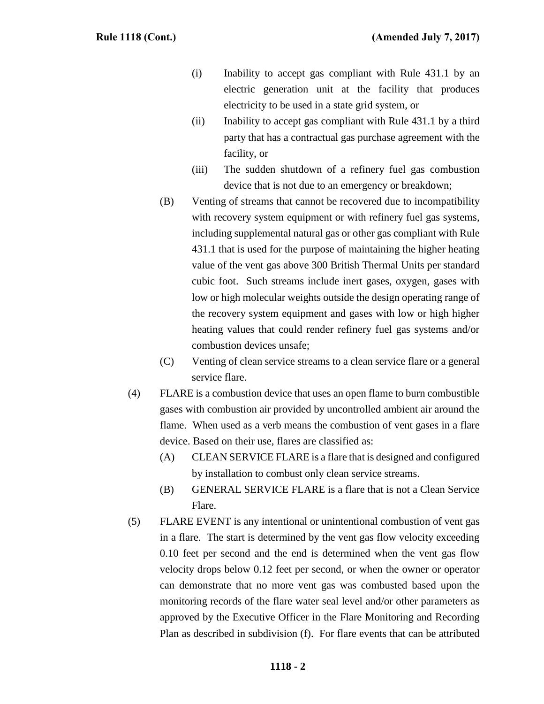- (i) Inability to accept gas compliant with Rule 431.1 by an electric generation unit at the facility that produces electricity to be used in a state grid system, or
- (ii) Inability to accept gas compliant with Rule 431.1 by a third party that has a contractual gas purchase agreement with the facility, or
- (iii) The sudden shutdown of a refinery fuel gas combustion device that is not due to an emergency or breakdown;
- (B) Venting of streams that cannot be recovered due to incompatibility with recovery system equipment or with refinery fuel gas systems, including supplemental natural gas or other gas compliant with Rule 431.1 that is used for the purpose of maintaining the higher heating value of the vent gas above 300 British Thermal Units per standard cubic foot. Such streams include inert gases, oxygen, gases with low or high molecular weights outside the design operating range of the recovery system equipment and gases with low or high higher heating values that could render refinery fuel gas systems and/or combustion devices unsafe;
- (C) Venting of clean service streams to a clean service flare or a general service flare.
- (4) FLARE is a combustion device that uses an open flame to burn combustible gases with combustion air provided by uncontrolled ambient air around the flame. When used as a verb means the combustion of vent gases in a flare device. Based on their use, flares are classified as:
	- (A) CLEAN SERVICE FLARE is a flare that is designed and configured by installation to combust only clean service streams.
	- (B) GENERAL SERVICE FLARE is a flare that is not a Clean Service Flare.
- (5) FLARE EVENT is any intentional or unintentional combustion of vent gas in a flare. The start is determined by the vent gas flow velocity exceeding 0.10 feet per second and the end is determined when the vent gas flow velocity drops below 0.12 feet per second, or when the owner or operator can demonstrate that no more vent gas was combusted based upon the monitoring records of the flare water seal level and/or other parameters as approved by the Executive Officer in the Flare Monitoring and Recording Plan as described in subdivision (f). For flare events that can be attributed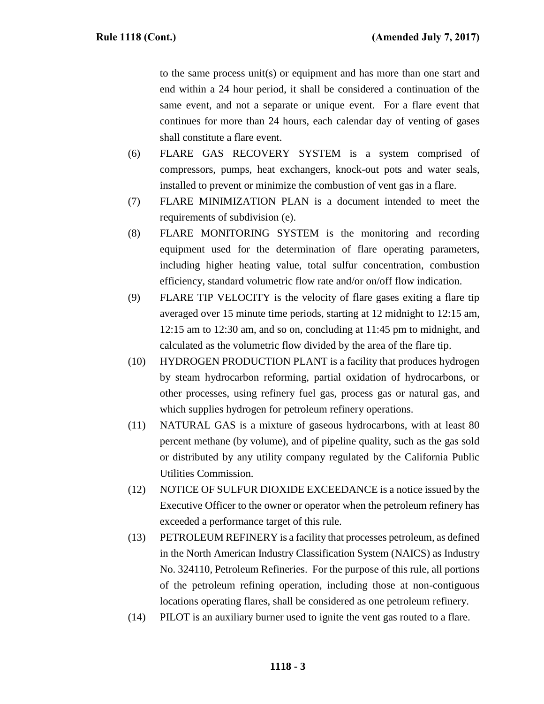to the same process unit(s) or equipment and has more than one start and end within a 24 hour period, it shall be considered a continuation of the same event, and not a separate or unique event. For a flare event that continues for more than 24 hours, each calendar day of venting of gases shall constitute a flare event.

- (6) FLARE GAS RECOVERY SYSTEM is a system comprised of compressors, pumps, heat exchangers, knock-out pots and water seals, installed to prevent or minimize the combustion of vent gas in a flare.
- (7) FLARE MINIMIZATION PLAN is a document intended to meet the requirements of subdivision (e).
- (8) FLARE MONITORING SYSTEM is the monitoring and recording equipment used for the determination of flare operating parameters, including higher heating value, total sulfur concentration, combustion efficiency, standard volumetric flow rate and/or on/off flow indication.
- (9) FLARE TIP VELOCITY is the velocity of flare gases exiting a flare tip averaged over 15 minute time periods, starting at 12 midnight to 12:15 am, 12:15 am to 12:30 am, and so on, concluding at 11:45 pm to midnight, and calculated as the volumetric flow divided by the area of the flare tip.
- (10) HYDROGEN PRODUCTION PLANT is a facility that produces hydrogen by steam hydrocarbon reforming, partial oxidation of hydrocarbons, or other processes, using refinery fuel gas, process gas or natural gas, and which supplies hydrogen for petroleum refinery operations.
- (11) NATURAL GAS is a mixture of gaseous hydrocarbons, with at least 80 percent methane (by volume), and of pipeline quality, such as the gas sold or distributed by any utility company regulated by the California Public Utilities Commission.
- (12) NOTICE OF SULFUR DIOXIDE EXCEEDANCE is a notice issued by the Executive Officer to the owner or operator when the petroleum refinery has exceeded a performance target of this rule.
- (13) PETROLEUM REFINERY is a facility that processes petroleum, as defined in the North American Industry Classification System (NAICS) as Industry No. 324110, Petroleum Refineries. For the purpose of this rule, all portions of the petroleum refining operation, including those at non-contiguous locations operating flares, shall be considered as one petroleum refinery.
- (14) PILOT is an auxiliary burner used to ignite the vent gas routed to a flare.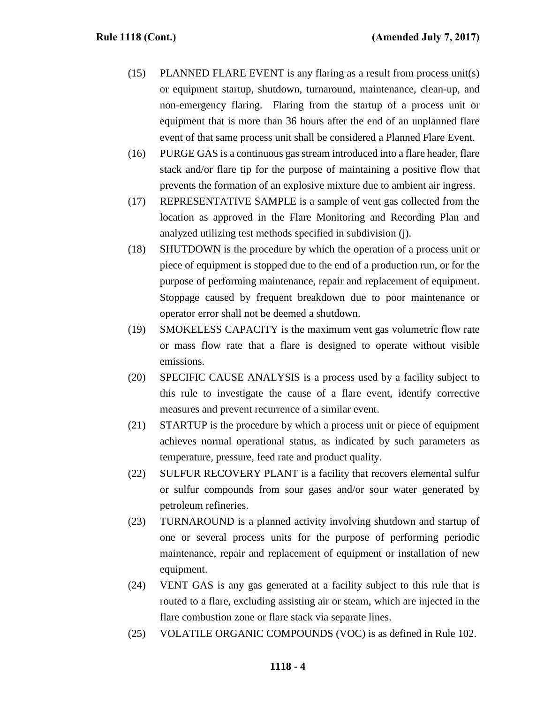- (15) PLANNED FLARE EVENT is any flaring as a result from process unit(s) or equipment startup, shutdown, turnaround, maintenance, clean-up, and non-emergency flaring. Flaring from the startup of a process unit or equipment that is more than 36 hours after the end of an unplanned flare event of that same process unit shall be considered a Planned Flare Event.
- (16) PURGE GAS is a continuous gas stream introduced into a flare header, flare stack and/or flare tip for the purpose of maintaining a positive flow that prevents the formation of an explosive mixture due to ambient air ingress.
- (17) REPRESENTATIVE SAMPLE is a sample of vent gas collected from the location as approved in the Flare Monitoring and Recording Plan and analyzed utilizing test methods specified in subdivision (j).
- (18) SHUTDOWN is the procedure by which the operation of a process unit or piece of equipment is stopped due to the end of a production run, or for the purpose of performing maintenance, repair and replacement of equipment. Stoppage caused by frequent breakdown due to poor maintenance or operator error shall not be deemed a shutdown.
- (19) SMOKELESS CAPACITY is the maximum vent gas volumetric flow rate or mass flow rate that a flare is designed to operate without visible emissions.
- (20) SPECIFIC CAUSE ANALYSIS is a process used by a facility subject to this rule to investigate the cause of a flare event, identify corrective measures and prevent recurrence of a similar event.
- (21) STARTUP is the procedure by which a process unit or piece of equipment achieves normal operational status, as indicated by such parameters as temperature, pressure, feed rate and product quality.
- (22) SULFUR RECOVERY PLANT is a facility that recovers elemental sulfur or sulfur compounds from sour gases and/or sour water generated by petroleum refineries.
- (23) TURNAROUND is a planned activity involving shutdown and startup of one or several process units for the purpose of performing periodic maintenance, repair and replacement of equipment or installation of new equipment.
- (24) VENT GAS is any gas generated at a facility subject to this rule that is routed to a flare, excluding assisting air or steam, which are injected in the flare combustion zone or flare stack via separate lines.
- (25) VOLATILE ORGANIC COMPOUNDS (VOC) is as defined in Rule 102.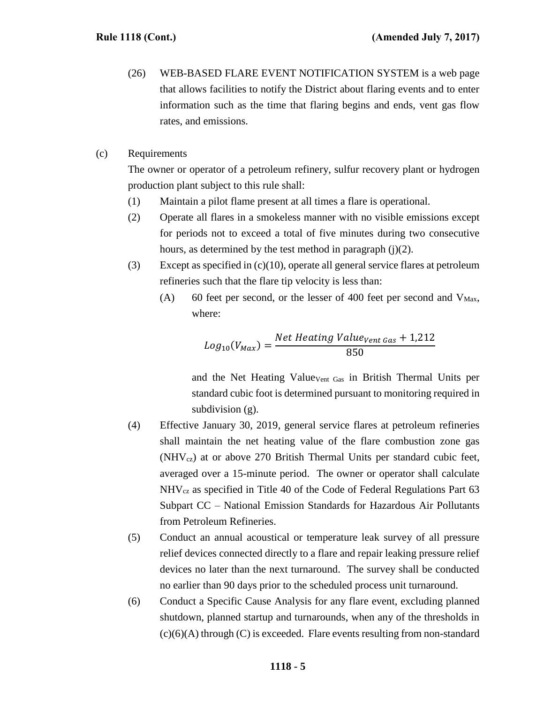- (26) WEB-BASED FLARE EVENT NOTIFICATION SYSTEM is a web page that allows facilities to notify the District about flaring events and to enter information such as the time that flaring begins and ends, vent gas flow rates, and emissions.
- (c) Requirements

The owner or operator of a petroleum refinery, sulfur recovery plant or hydrogen production plant subject to this rule shall:

- (1) Maintain a pilot flame present at all times a flare is operational.
- (2) Operate all flares in a smokeless manner with no visible emissions except for periods not to exceed a total of five minutes during two consecutive hours, as determined by the test method in paragraph  $(i)(2)$ .
- (3) Except as specified in (c)(10), operate all general service flares at petroleum refineries such that the flare tip velocity is less than:
	- (A) 60 feet per second, or the lesser of 400 feet per second and  $V_{\text{Max}}$ , where:

$$
Log_{10}(V_{Max}) = \frac{Net \, Heating \, Value_{Vent \, Gas} + 1,212}{850}
$$

and the Net Heating Value<sub>Vent Gas</sub> in British Thermal Units per standard cubic foot is determined pursuant to monitoring required in subdivision (g).

- (4) Effective January 30, 2019, general service flares at petroleum refineries shall maintain the net heating value of the flare combustion zone gas (NHVcz) at or above 270 British Thermal Units per standard cubic feet, averaged over a 15-minute period. The owner or operator shall calculate NHVcz as specified in Title 40 of the Code of Federal Regulations Part 63 Subpart CC – National Emission Standards for Hazardous Air Pollutants from Petroleum Refineries.
- (5) Conduct an annual acoustical or temperature leak survey of all pressure relief devices connected directly to a flare and repair leaking pressure relief devices no later than the next turnaround. The survey shall be conducted no earlier than 90 days prior to the scheduled process unit turnaround.
- (6) Conduct a Specific Cause Analysis for any flare event, excluding planned shutdown, planned startup and turnarounds, when any of the thresholds in  $(c)(6)(A)$  through  $(C)$  is exceeded. Flare events resulting from non-standard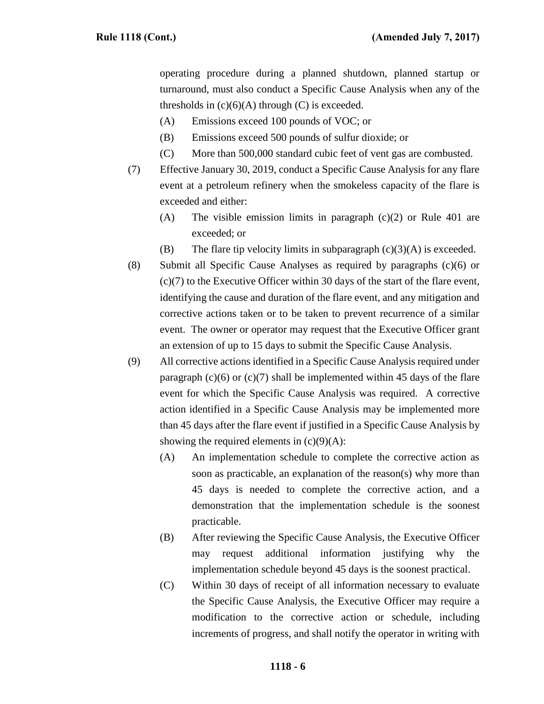operating procedure during a planned shutdown, planned startup or turnaround, must also conduct a Specific Cause Analysis when any of the thresholds in  $(c)(6)(A)$  through  $(C)$  is exceeded.

- (A) Emissions exceed 100 pounds of VOC; or
- (B) Emissions exceed 500 pounds of sulfur dioxide; or
- (C) More than 500,000 standard cubic feet of vent gas are combusted.
- (7) Effective January 30, 2019, conduct a Specific Cause Analysis for any flare event at a petroleum refinery when the smokeless capacity of the flare is exceeded and either:
	- (A) The visible emission limits in paragraph (c)(2) or Rule 401 are exceeded; or
	- (B) The flare tip velocity limits in subparagraph  $(c)(3)(A)$  is exceeded.
- (8) Submit all Specific Cause Analyses as required by paragraphs (c)(6) or (c)(7) to the Executive Officer within 30 days of the start of the flare event, identifying the cause and duration of the flare event, and any mitigation and corrective actions taken or to be taken to prevent recurrence of a similar event. The owner or operator may request that the Executive Officer grant an extension of up to 15 days to submit the Specific Cause Analysis.
- (9) All corrective actions identified in a Specific Cause Analysis required under paragraph  $(c)(6)$  or  $(c)(7)$  shall be implemented within 45 days of the flare event for which the Specific Cause Analysis was required. A corrective action identified in a Specific Cause Analysis may be implemented more than 45 days after the flare event if justified in a Specific Cause Analysis by showing the required elements in  $(c)(9)(A)$ :
	- (A) An implementation schedule to complete the corrective action as soon as practicable, an explanation of the reason(s) why more than 45 days is needed to complete the corrective action, and a demonstration that the implementation schedule is the soonest practicable.
	- (B) After reviewing the Specific Cause Analysis, the Executive Officer may request additional information justifying why the implementation schedule beyond 45 days is the soonest practical.
	- (C) Within 30 days of receipt of all information necessary to evaluate the Specific Cause Analysis, the Executive Officer may require a modification to the corrective action or schedule, including increments of progress, and shall notify the operator in writing with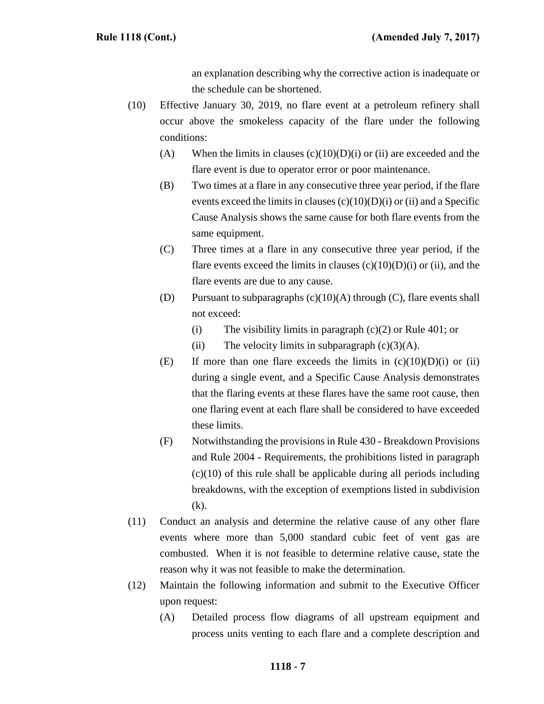an explanation describing why the corrective action is inadequate or the schedule can be shortened.

- (10) Effective January 30, 2019, no flare event at a petroleum refinery shall occur above the smokeless capacity of the flare under the following conditions:
	- (A) When the limits in clauses  $(c)(10)(D)(i)$  or (ii) are exceeded and the flare event is due to operator error or poor maintenance.
	- (B) Two times at a flare in any consecutive three year period, if the flare events exceed the limits in clauses  $(c)(10)(D)(i)$  or (ii) and a Specific Cause Analysis shows the same cause for both flare events from the same equipment.
	- (C) Three times at a flare in any consecutive three year period, if the flare events exceed the limits in clauses  $(c)(10)(D)(i)$  or (ii), and the flare events are due to any cause.
	- (D) Pursuant to subparagraphs  $(c)(10)(A)$  through  $(C)$ , flare events shall not exceed:
		- (i) The visibility limits in paragraph  $(c)(2)$  or Rule 401; or
		- (ii) The velocity limits in subparagraph  $(c)(3)(A)$ .
	- (E) If more than one flare exceeds the limits in  $(c)(10)(D)(i)$  or (ii) during a single event, and a Specific Cause Analysis demonstrates that the flaring events at these flares have the same root cause, then one flaring event at each flare shall be considered to have exceeded these limits.
	- (F) Notwithstanding the provisions in Rule 430 Breakdown Provisions and Rule 2004 - Requirements, the prohibitions listed in paragraph  $(c)(10)$  of this rule shall be applicable during all periods including breakdowns, with the exception of exemptions listed in subdivision (k).
- (11) Conduct an analysis and determine the relative cause of any other flare events where more than 5,000 standard cubic feet of vent gas are combusted. When it is not feasible to determine relative cause, state the reason why it was not feasible to make the determination.
- (12) Maintain the following information and submit to the Executive Officer upon request:
	- (A) Detailed process flow diagrams of all upstream equipment and process units venting to each flare and a complete description and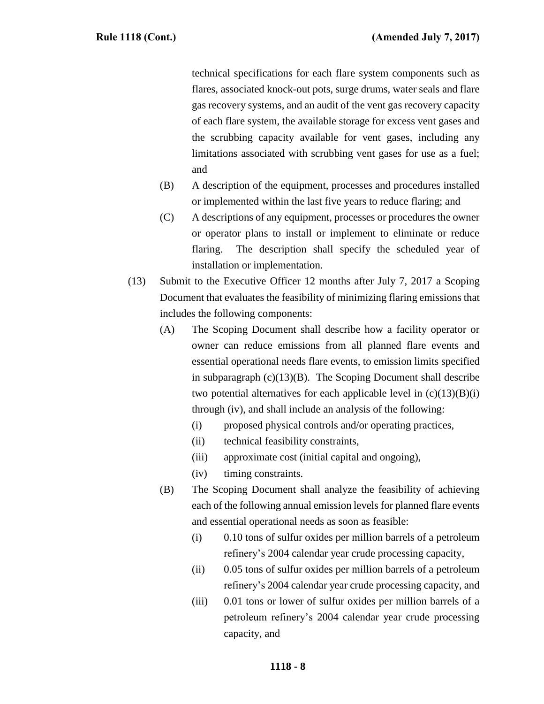technical specifications for each flare system components such as flares, associated knock-out pots, surge drums, water seals and flare gas recovery systems, and an audit of the vent gas recovery capacity of each flare system, the available storage for excess vent gases and the scrubbing capacity available for vent gases, including any limitations associated with scrubbing vent gases for use as a fuel; and

- (B) A description of the equipment, processes and procedures installed or implemented within the last five years to reduce flaring; and
- (C) A descriptions of any equipment, processes or procedures the owner or operator plans to install or implement to eliminate or reduce flaring. The description shall specify the scheduled year of installation or implementation.
- (13) Submit to the Executive Officer 12 months after July 7, 2017 a Scoping Document that evaluates the feasibility of minimizing flaring emissions that includes the following components:
	- (A) The Scoping Document shall describe how a facility operator or owner can reduce emissions from all planned flare events and essential operational needs flare events, to emission limits specified in subparagraph  $(c)(13)(B)$ . The Scoping Document shall describe two potential alternatives for each applicable level in  $(c)(13)(B)(i)$ through (iv), and shall include an analysis of the following:
		- (i) proposed physical controls and/or operating practices,
		- (ii) technical feasibility constraints,
		- (iii) approximate cost (initial capital and ongoing),
		- (iv) timing constraints.
	- (B) The Scoping Document shall analyze the feasibility of achieving each of the following annual emission levels for planned flare events and essential operational needs as soon as feasible:
		- (i) 0.10 tons of sulfur oxides per million barrels of a petroleum refinery's 2004 calendar year crude processing capacity,
		- (ii) 0.05 tons of sulfur oxides per million barrels of a petroleum refinery's 2004 calendar year crude processing capacity, and
		- (iii) 0.01 tons or lower of sulfur oxides per million barrels of a petroleum refinery's 2004 calendar year crude processing capacity, and

## **1118 - 8**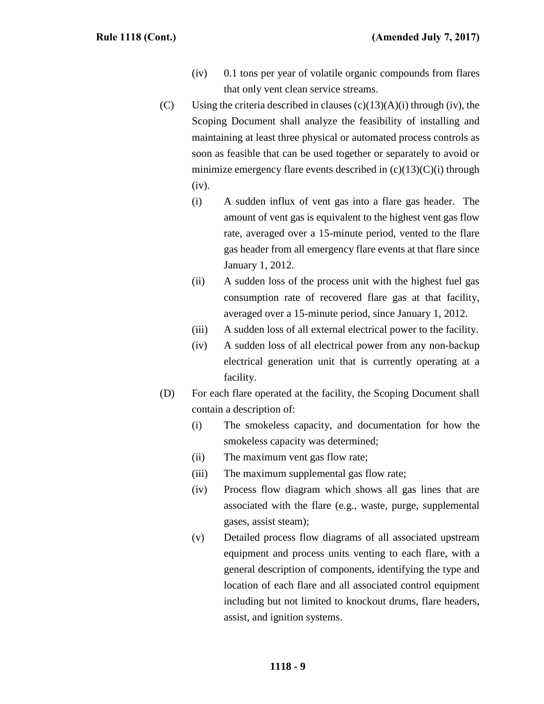- (iv) 0.1 tons per year of volatile organic compounds from flares that only vent clean service streams.
- (C) Using the criteria described in clauses  $(c)(13)(A)(i)$  through (iv), the Scoping Document shall analyze the feasibility of installing and maintaining at least three physical or automated process controls as soon as feasible that can be used together or separately to avoid or minimize emergency flare events described in  $(c)(13)(C)(i)$  through (iv).
	- (i) A sudden influx of vent gas into a flare gas header. The amount of vent gas is equivalent to the highest vent gas flow rate, averaged over a 15-minute period, vented to the flare gas header from all emergency flare events at that flare since January 1, 2012.
	- (ii) A sudden loss of the process unit with the highest fuel gas consumption rate of recovered flare gas at that facility, averaged over a 15-minute period, since January 1, 2012.
	- (iii) A sudden loss of all external electrical power to the facility.
	- (iv) A sudden loss of all electrical power from any non-backup electrical generation unit that is currently operating at a facility.
- (D) For each flare operated at the facility, the Scoping Document shall contain a description of:
	- (i) The smokeless capacity, and documentation for how the smokeless capacity was determined;
	- (ii) The maximum vent gas flow rate;
	- (iii) The maximum supplemental gas flow rate;
	- (iv) Process flow diagram which shows all gas lines that are associated with the flare (e.g., waste, purge, supplemental gases, assist steam);
	- (v) Detailed process flow diagrams of all associated upstream equipment and process units venting to each flare, with a general description of components, identifying the type and location of each flare and all associated control equipment including but not limited to knockout drums, flare headers, assist, and ignition systems.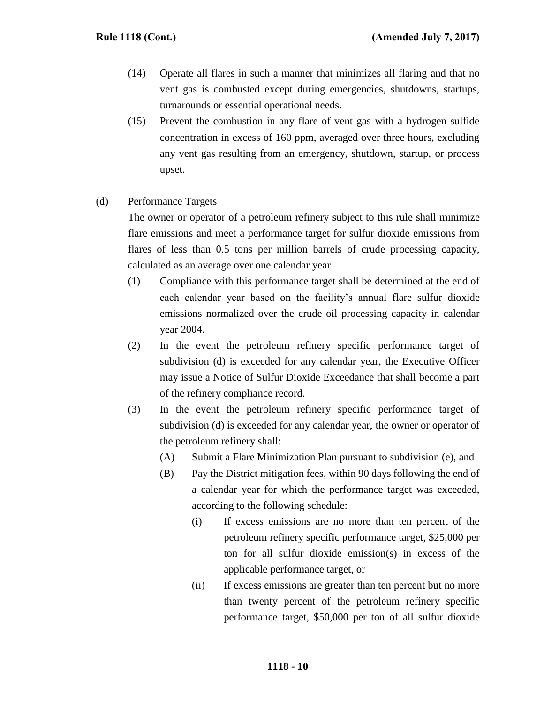- (14) Operate all flares in such a manner that minimizes all flaring and that no vent gas is combusted except during emergencies, shutdowns, startups, turnarounds or essential operational needs.
- (15) Prevent the combustion in any flare of vent gas with a hydrogen sulfide concentration in excess of 160 ppm, averaged over three hours, excluding any vent gas resulting from an emergency, shutdown, startup, or process upset.

## (d) Performance Targets

The owner or operator of a petroleum refinery subject to this rule shall minimize flare emissions and meet a performance target for sulfur dioxide emissions from flares of less than 0.5 tons per million barrels of crude processing capacity, calculated as an average over one calendar year.

- (1) Compliance with this performance target shall be determined at the end of each calendar year based on the facility's annual flare sulfur dioxide emissions normalized over the crude oil processing capacity in calendar year 2004.
- (2) In the event the petroleum refinery specific performance target of subdivision (d) is exceeded for any calendar year, the Executive Officer may issue a Notice of Sulfur Dioxide Exceedance that shall become a part of the refinery compliance record.
- (3) In the event the petroleum refinery specific performance target of subdivision (d) is exceeded for any calendar year, the owner or operator of the petroleum refinery shall:
	- (A) Submit a Flare Minimization Plan pursuant to subdivision (e), and
	- (B) Pay the District mitigation fees, within 90 days following the end of a calendar year for which the performance target was exceeded, according to the following schedule:
		- (i) If excess emissions are no more than ten percent of the petroleum refinery specific performance target, \$25,000 per ton for all sulfur dioxide emission(s) in excess of the applicable performance target, or
		- (ii) If excess emissions are greater than ten percent but no more than twenty percent of the petroleum refinery specific performance target, \$50,000 per ton of all sulfur dioxide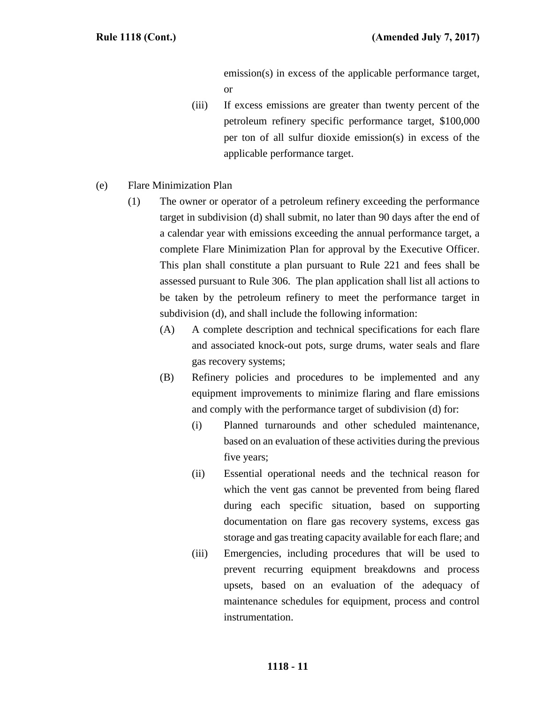emission(s) in excess of the applicable performance target, or

- (iii) If excess emissions are greater than twenty percent of the petroleum refinery specific performance target, \$100,000 per ton of all sulfur dioxide emission(s) in excess of the applicable performance target.
- (e) Flare Minimization Plan
	- (1) The owner or operator of a petroleum refinery exceeding the performance target in subdivision (d) shall submit, no later than 90 days after the end of a calendar year with emissions exceeding the annual performance target, a complete Flare Minimization Plan for approval by the Executive Officer. This plan shall constitute a plan pursuant to Rule 221 and fees shall be assessed pursuant to Rule 306. The plan application shall list all actions to be taken by the petroleum refinery to meet the performance target in subdivision (d), and shall include the following information:
		- (A) A complete description and technical specifications for each flare and associated knock-out pots, surge drums, water seals and flare gas recovery systems;
		- (B) Refinery policies and procedures to be implemented and any equipment improvements to minimize flaring and flare emissions and comply with the performance target of subdivision (d) for:
			- (i) Planned turnarounds and other scheduled maintenance, based on an evaluation of these activities during the previous five years;
			- (ii) Essential operational needs and the technical reason for which the vent gas cannot be prevented from being flared during each specific situation, based on supporting documentation on flare gas recovery systems, excess gas storage and gas treating capacity available for each flare; and
			- (iii) Emergencies, including procedures that will be used to prevent recurring equipment breakdowns and process upsets, based on an evaluation of the adequacy of maintenance schedules for equipment, process and control instrumentation.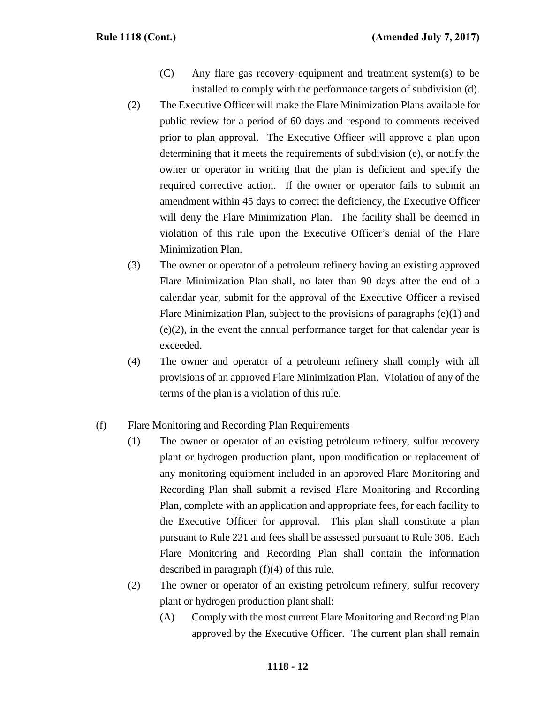- (C) Any flare gas recovery equipment and treatment system(s) to be installed to comply with the performance targets of subdivision (d).
- (2) The Executive Officer will make the Flare Minimization Plans available for public review for a period of 60 days and respond to comments received prior to plan approval. The Executive Officer will approve a plan upon determining that it meets the requirements of subdivision (e), or notify the owner or operator in writing that the plan is deficient and specify the required corrective action. If the owner or operator fails to submit an amendment within 45 days to correct the deficiency, the Executive Officer will deny the Flare Minimization Plan. The facility shall be deemed in violation of this rule upon the Executive Officer's denial of the Flare Minimization Plan.
- (3) The owner or operator of a petroleum refinery having an existing approved Flare Minimization Plan shall, no later than 90 days after the end of a calendar year, submit for the approval of the Executive Officer a revised Flare Minimization Plan, subject to the provisions of paragraphs (e)(1) and (e)(2), in the event the annual performance target for that calendar year is exceeded.
- (4) The owner and operator of a petroleum refinery shall comply with all provisions of an approved Flare Minimization Plan. Violation of any of the terms of the plan is a violation of this rule.

## (f) Flare Monitoring and Recording Plan Requirements

- (1) The owner or operator of an existing petroleum refinery, sulfur recovery plant or hydrogen production plant, upon modification or replacement of any monitoring equipment included in an approved Flare Monitoring and Recording Plan shall submit a revised Flare Monitoring and Recording Plan, complete with an application and appropriate fees, for each facility to the Executive Officer for approval. This plan shall constitute a plan pursuant to Rule 221 and fees shall be assessed pursuant to Rule 306. Each Flare Monitoring and Recording Plan shall contain the information described in paragraph (f)(4) of this rule.
- (2) The owner or operator of an existing petroleum refinery, sulfur recovery plant or hydrogen production plant shall:
	- (A) Comply with the most current Flare Monitoring and Recording Plan approved by the Executive Officer. The current plan shall remain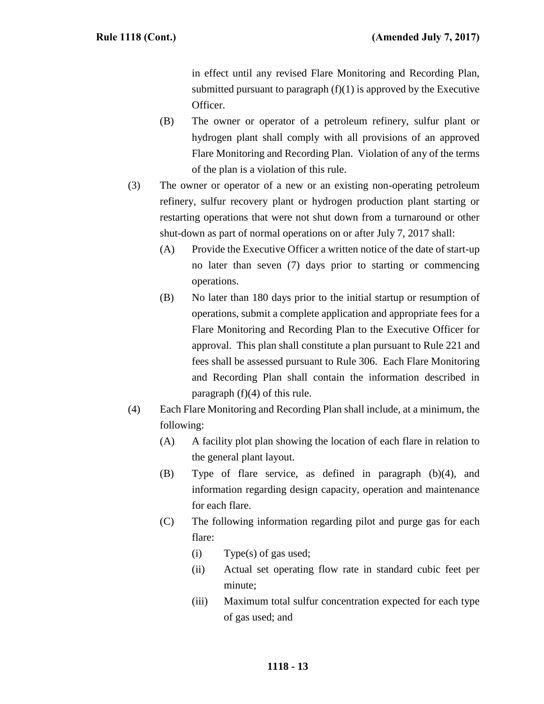in effect until any revised Flare Monitoring and Recording Plan, submitted pursuant to paragraph  $(f)(1)$  is approved by the Executive Officer.

- (B) The owner or operator of a petroleum refinery, sulfur plant or hydrogen plant shall comply with all provisions of an approved Flare Monitoring and Recording Plan. Violation of any of the terms of the plan is a violation of this rule.
- (3) The owner or operator of a new or an existing non-operating petroleum refinery, sulfur recovery plant or hydrogen production plant starting or restarting operations that were not shut down from a turnaround or other shut-down as part of normal operations on or after July 7, 2017 shall:
	- (A) Provide the Executive Officer a written notice of the date of start-up no later than seven (7) days prior to starting or commencing operations.
	- (B) No later than 180 days prior to the initial startup or resumption of operations, submit a complete application and appropriate fees for a Flare Monitoring and Recording Plan to the Executive Officer for approval. This plan shall constitute a plan pursuant to Rule 221 and fees shall be assessed pursuant to Rule 306. Each Flare Monitoring and Recording Plan shall contain the information described in paragraph  $(f)(4)$  of this rule.
- (4) Each Flare Monitoring and Recording Plan shall include, at a minimum, the following:
	- (A) A facility plot plan showing the location of each flare in relation to the general plant layout.
	- (B) Type of flare service, as defined in paragraph (b)(4), and information regarding design capacity, operation and maintenance for each flare.
	- (C) The following information regarding pilot and purge gas for each flare:
		- (i) Type(s) of gas used;
		- (ii) Actual set operating flow rate in standard cubic feet per minute;
		- (iii) Maximum total sulfur concentration expected for each type of gas used; and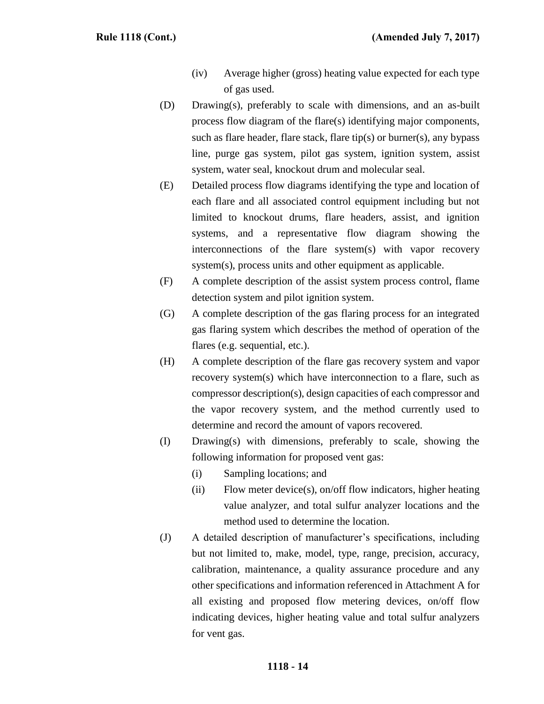- (iv) Average higher (gross) heating value expected for each type of gas used.
- (D) Drawing(s), preferably to scale with dimensions, and an as-built process flow diagram of the flare(s) identifying major components, such as flare header, flare stack, flare tip(s) or burner(s), any bypass line, purge gas system, pilot gas system, ignition system, assist system, water seal, knockout drum and molecular seal.
- (E) Detailed process flow diagrams identifying the type and location of each flare and all associated control equipment including but not limited to knockout drums, flare headers, assist, and ignition systems, and a representative flow diagram showing the interconnections of the flare system(s) with vapor recovery system(s), process units and other equipment as applicable.
- (F) A complete description of the assist system process control, flame detection system and pilot ignition system.
- (G) A complete description of the gas flaring process for an integrated gas flaring system which describes the method of operation of the flares (e.g. sequential, etc.).
- (H) A complete description of the flare gas recovery system and vapor recovery system(s) which have interconnection to a flare, such as compressor description(s), design capacities of each compressor and the vapor recovery system, and the method currently used to determine and record the amount of vapors recovered.
- (I) Drawing(s) with dimensions, preferably to scale, showing the following information for proposed vent gas:
	- (i) Sampling locations; and
	- (ii) Flow meter device(s), on/off flow indicators, higher heating value analyzer, and total sulfur analyzer locations and the method used to determine the location.
- (J) A detailed description of manufacturer's specifications, including but not limited to, make, model, type, range, precision, accuracy, calibration, maintenance, a quality assurance procedure and any other specifications and information referenced in Attachment A for all existing and proposed flow metering devices, on/off flow indicating devices, higher heating value and total sulfur analyzers for vent gas.

#### **1118 - 14**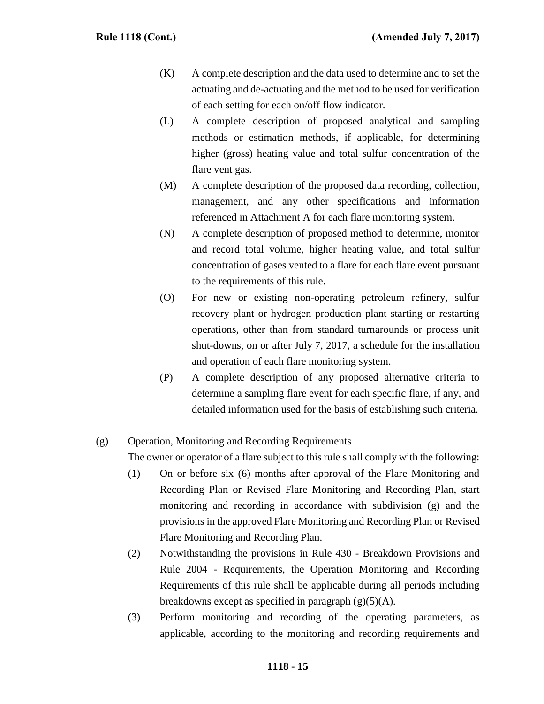- (K) A complete description and the data used to determine and to set the actuating and de-actuating and the method to be used for verification of each setting for each on/off flow indicator.
- (L) A complete description of proposed analytical and sampling methods or estimation methods, if applicable, for determining higher (gross) heating value and total sulfur concentration of the flare vent gas.
- (M) A complete description of the proposed data recording, collection, management, and any other specifications and information referenced in Attachment A for each flare monitoring system.
- (N) A complete description of proposed method to determine, monitor and record total volume, higher heating value, and total sulfur concentration of gases vented to a flare for each flare event pursuant to the requirements of this rule.
- (O) For new or existing non-operating petroleum refinery, sulfur recovery plant or hydrogen production plant starting or restarting operations, other than from standard turnarounds or process unit shut-downs, on or after July 7, 2017, a schedule for the installation and operation of each flare monitoring system.
- (P) A complete description of any proposed alternative criteria to determine a sampling flare event for each specific flare, if any, and detailed information used for the basis of establishing such criteria.

# (g) Operation, Monitoring and Recording Requirements The owner or operator of a flare subject to this rule shall comply with the following:

- (1) On or before six (6) months after approval of the Flare Monitoring and Recording Plan or Revised Flare Monitoring and Recording Plan, start monitoring and recording in accordance with subdivision (g) and the provisions in the approved Flare Monitoring and Recording Plan or Revised Flare Monitoring and Recording Plan.
- (2) Notwithstanding the provisions in Rule 430 Breakdown Provisions and Rule 2004 - Requirements, the Operation Monitoring and Recording Requirements of this rule shall be applicable during all periods including breakdowns except as specified in paragraph  $(g)(5)(A)$ .
- (3) Perform monitoring and recording of the operating parameters, as applicable, according to the monitoring and recording requirements and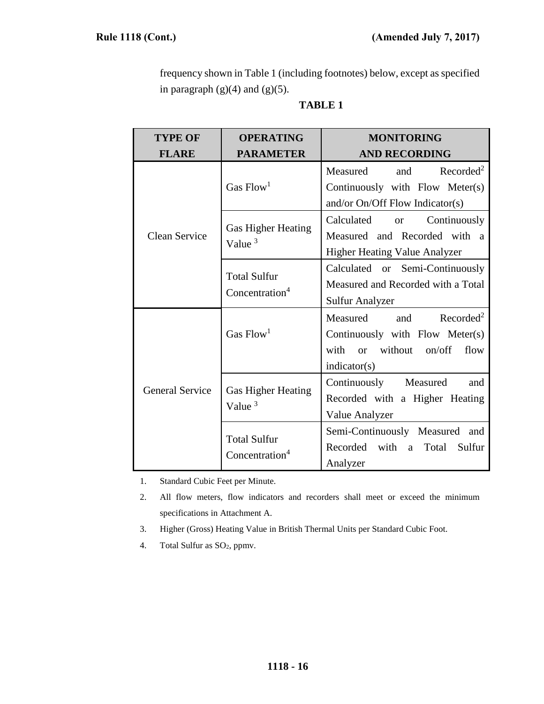frequency shown in Table 1 (including footnotes) below, except as specified in paragraph  $(g)(4)$  and  $(g)(5)$ .

| `ABL) |  |
|-------|--|
|-------|--|

| <b>TYPE OF</b>                                    | <b>OPERATING</b>                                  | <b>MONITORING</b>                                                                                                                                  |
|---------------------------------------------------|---------------------------------------------------|----------------------------------------------------------------------------------------------------------------------------------------------------|
| <b>FLARE</b>                                      | <b>PARAMETER</b>                                  | <b>AND RECORDING</b>                                                                                                                               |
|                                                   | Gas $Flow1$                                       | Recorded <sup>2</sup><br>and<br>Measured<br>Continuously with Flow Meter(s)                                                                        |
| Clean Service                                     | Gas Higher Heating<br>Value $3$                   | and/or $On/Off$ Flow Indicator(s)<br>Calculated<br>Continuously<br><b>or</b><br>Measured and Recorded with a<br>Higher Heating Value Analyzer      |
|                                                   | <b>Total Sulfur</b><br>Concentration <sup>4</sup> | Calculated or Semi-Continuously<br>Measured and Recorded with a Total<br><b>Sulfur Analyzer</b>                                                    |
|                                                   | Gas $Flow1$                                       | Recorded <sup>2</sup><br>Measured<br>and<br>Continuously with Flow Meter(s)<br>with<br>without<br>on/off<br>flow<br><sub>or</sub><br>indication(s) |
| <b>General Service</b>                            | <b>Gas Higher Heating</b><br>Value $3$            | Continuously<br>Measured<br>and<br>Recorded with a Higher Heating<br>Value Analyzer                                                                |
| <b>Total Sulfur</b><br>Concentration <sup>4</sup> |                                                   | Semi-Continuously Measured and<br>Recorded<br>with<br>Total<br>Sulfur<br>a<br>Analyzer                                                             |

1. Standard Cubic Feet per Minute.

2. All flow meters, flow indicators and recorders shall meet or exceed the minimum specifications in Attachment A.

- 3. Higher (Gross) Heating Value in British Thermal Units per Standard Cubic Foot.
- 4. Total Sulfur as  $SO<sub>2</sub>$ , ppmv.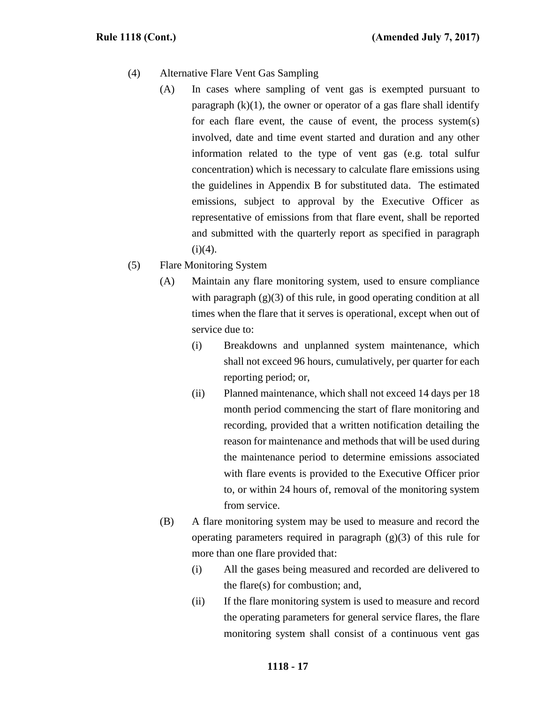- (4) Alternative Flare Vent Gas Sampling
	- (A) In cases where sampling of vent gas is exempted pursuant to paragraph  $(k)(1)$ , the owner or operator of a gas flare shall identify for each flare event, the cause of event, the process system(s) involved, date and time event started and duration and any other information related to the type of vent gas (e.g. total sulfur concentration) which is necessary to calculate flare emissions using the guidelines in Appendix B for substituted data. The estimated emissions, subject to approval by the Executive Officer as representative of emissions from that flare event, shall be reported and submitted with the quarterly report as specified in paragraph  $(i)(4)$ .
- (5) Flare Monitoring System
	- (A) Maintain any flare monitoring system, used to ensure compliance with paragraph  $(g)(3)$  of this rule, in good operating condition at all times when the flare that it serves is operational, except when out of service due to:
		- (i) Breakdowns and unplanned system maintenance, which shall not exceed 96 hours, cumulatively, per quarter for each reporting period; or,
		- (ii) Planned maintenance, which shall not exceed 14 days per 18 month period commencing the start of flare monitoring and recording, provided that a written notification detailing the reason for maintenance and methods that will be used during the maintenance period to determine emissions associated with flare events is provided to the Executive Officer prior to, or within 24 hours of, removal of the monitoring system from service.
	- (B) A flare monitoring system may be used to measure and record the operating parameters required in paragraph  $(g)(3)$  of this rule for more than one flare provided that:
		- (i) All the gases being measured and recorded are delivered to the flare(s) for combustion; and,
		- (ii) If the flare monitoring system is used to measure and record the operating parameters for general service flares, the flare monitoring system shall consist of a continuous vent gas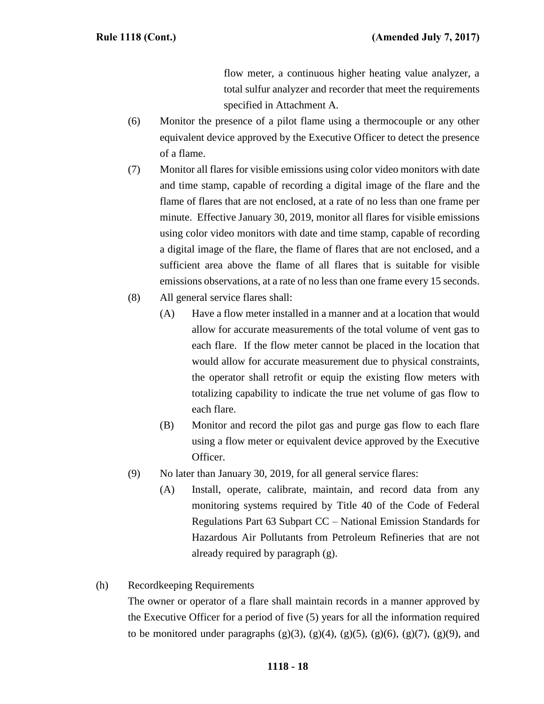flow meter, a continuous higher heating value analyzer, a total sulfur analyzer and recorder that meet the requirements specified in Attachment A.

- (6) Monitor the presence of a pilot flame using a thermocouple or any other equivalent device approved by the Executive Officer to detect the presence of a flame.
- (7) Monitor all flares for visible emissions using color video monitors with date and time stamp, capable of recording a digital image of the flare and the flame of flares that are not enclosed, at a rate of no less than one frame per minute. Effective January 30, 2019, monitor all flares for visible emissions using color video monitors with date and time stamp, capable of recording a digital image of the flare, the flame of flares that are not enclosed, and a sufficient area above the flame of all flares that is suitable for visible emissions observations, at a rate of no less than one frame every 15 seconds.
- (8) All general service flares shall:
	- (A) Have a flow meter installed in a manner and at a location that would allow for accurate measurements of the total volume of vent gas to each flare. If the flow meter cannot be placed in the location that would allow for accurate measurement due to physical constraints, the operator shall retrofit or equip the existing flow meters with totalizing capability to indicate the true net volume of gas flow to each flare.
	- (B) Monitor and record the pilot gas and purge gas flow to each flare using a flow meter or equivalent device approved by the Executive Officer.
- (9) No later than January 30, 2019, for all general service flares:
	- (A) Install, operate, calibrate, maintain, and record data from any monitoring systems required by Title 40 of the Code of Federal Regulations Part 63 Subpart CC – National Emission Standards for Hazardous Air Pollutants from Petroleum Refineries that are not already required by paragraph (g).
- (h) Recordkeeping Requirements

The owner or operator of a flare shall maintain records in a manner approved by the Executive Officer for a period of five (5) years for all the information required to be monitored under paragraphs  $(g)(3)$ ,  $(g)(4)$ ,  $(g)(5)$ ,  $(g)(6)$ ,  $(g)(7)$ ,  $(g)(9)$ , and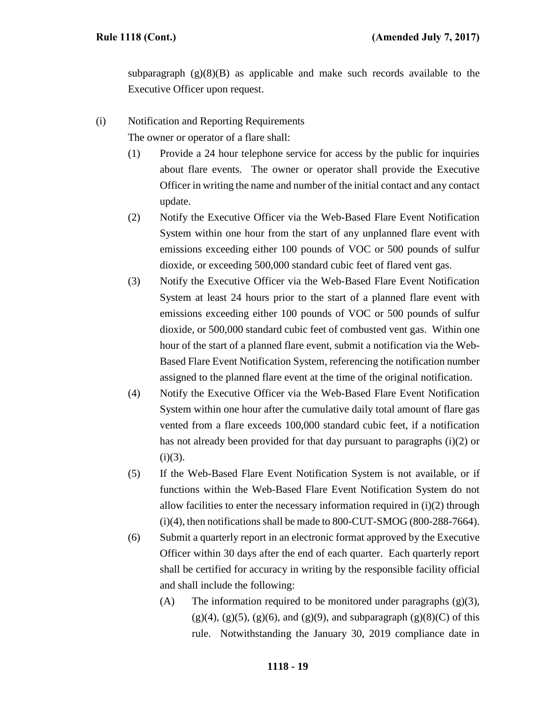subparagraph  $(g)(8)(B)$  as applicable and make such records available to the Executive Officer upon request.

(i) Notification and Reporting Requirements The owner or operator of a flare shall:

(1) Provide a 24 hour telephone service for access by the public for inquiries

- about flare events. The owner or operator shall provide the Executive Officer in writing the name and number of the initial contact and any contact update.
- (2) Notify the Executive Officer via the Web-Based Flare Event Notification System within one hour from the start of any unplanned flare event with emissions exceeding either 100 pounds of VOC or 500 pounds of sulfur dioxide, or exceeding 500,000 standard cubic feet of flared vent gas.
- (3) Notify the Executive Officer via the Web-Based Flare Event Notification System at least 24 hours prior to the start of a planned flare event with emissions exceeding either 100 pounds of VOC or 500 pounds of sulfur dioxide, or 500,000 standard cubic feet of combusted vent gas. Within one hour of the start of a planned flare event, submit a notification via the Web-Based Flare Event Notification System, referencing the notification number assigned to the planned flare event at the time of the original notification.
- (4) Notify the Executive Officer via the Web-Based Flare Event Notification System within one hour after the cumulative daily total amount of flare gas vented from a flare exceeds 100,000 standard cubic feet, if a notification has not already been provided for that day pursuant to paragraphs (i)(2) or  $(i)(3)$ .
- (5) If the Web-Based Flare Event Notification System is not available, or if functions within the Web-Based Flare Event Notification System do not allow facilities to enter the necessary information required in (i)(2) through (i)(4), then notifications shall be made to 800-CUT-SMOG (800-288-7664).
- (6) Submit a quarterly report in an electronic format approved by the Executive Officer within 30 days after the end of each quarter. Each quarterly report shall be certified for accuracy in writing by the responsible facility official and shall include the following:
	- (A) The information required to be monitored under paragraphs  $(g)(3)$ ,  $(g)(4)$ ,  $(g)(5)$ ,  $(g)(6)$ , and  $(g)(9)$ , and subparagraph  $(g)(8)(C)$  of this rule. Notwithstanding the January 30, 2019 compliance date in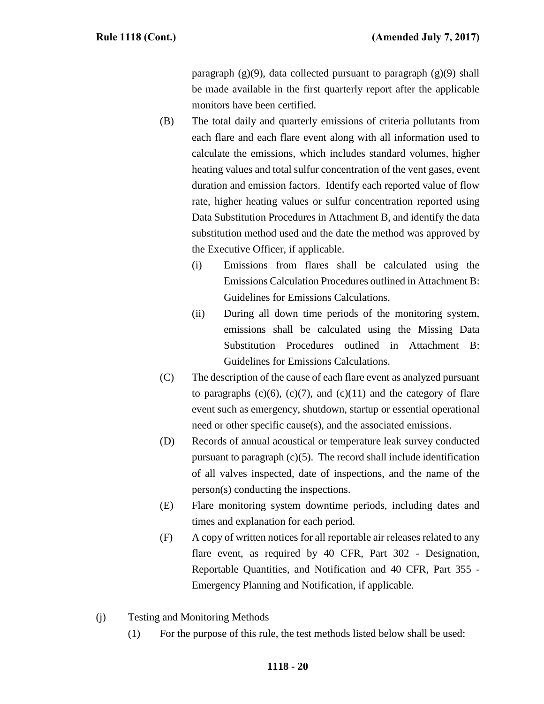paragraph  $(g)(9)$ , data collected pursuant to paragraph  $(g)(9)$  shall be made available in the first quarterly report after the applicable monitors have been certified.

- (B) The total daily and quarterly emissions of criteria pollutants from each flare and each flare event along with all information used to calculate the emissions, which includes standard volumes, higher heating values and total sulfur concentration of the vent gases, event duration and emission factors. Identify each reported value of flow rate, higher heating values or sulfur concentration reported using Data Substitution Procedures in Attachment B, and identify the data substitution method used and the date the method was approved by the Executive Officer, if applicable.
	- (i) Emissions from flares shall be calculated using the Emissions Calculation Procedures outlined in Attachment B: Guidelines for Emissions Calculations.
	- (ii) During all down time periods of the monitoring system, emissions shall be calculated using the Missing Data Substitution Procedures outlined in Attachment B: Guidelines for Emissions Calculations.
- (C) The description of the cause of each flare event as analyzed pursuant to paragraphs  $(c)(6)$ ,  $(c)(7)$ , and  $(c)(11)$  and the category of flare event such as emergency, shutdown, startup or essential operational need or other specific cause(s), and the associated emissions.
- (D) Records of annual acoustical or temperature leak survey conducted pursuant to paragraph  $(c)(5)$ . The record shall include identification of all valves inspected, date of inspections, and the name of the person(s) conducting the inspections.
- (E) Flare monitoring system downtime periods, including dates and times and explanation for each period.
- (F) A copy of written notices for all reportable air releases related to any flare event, as required by 40 CFR, Part 302 - Designation, Reportable Quantities, and Notification and 40 CFR, Part 355 - Emergency Planning and Notification, if applicable.
- (j) Testing and Monitoring Methods
	- (1) For the purpose of this rule, the test methods listed below shall be used: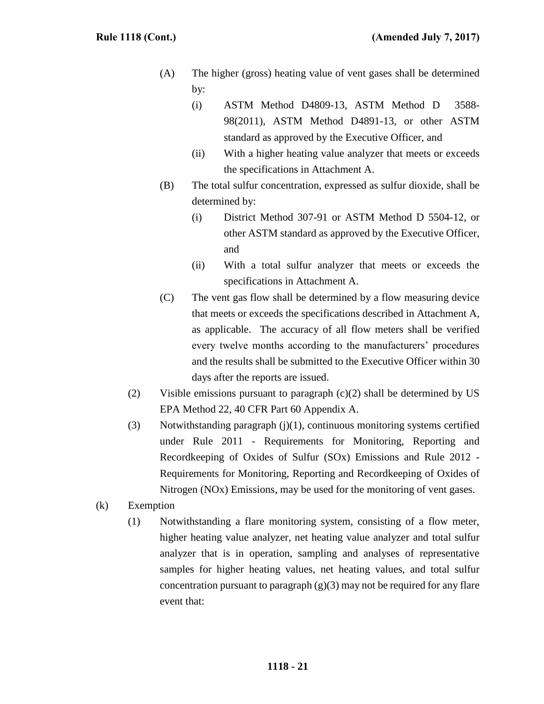- (A) The higher (gross) heating value of vent gases shall be determined by:
	- (i) ASTM Method D4809-13, ASTM Method D 3588- 98(2011), ASTM Method D4891-13, or other ASTM standard as approved by the Executive Officer, and
	- (ii) With a higher heating value analyzer that meets or exceeds the specifications in Attachment A.
- (B) The total sulfur concentration, expressed as sulfur dioxide, shall be determined by:
	- (i) District Method 307-91 or ASTM Method D 5504-12, or other ASTM standard as approved by the Executive Officer, and
	- (ii) With a total sulfur analyzer that meets or exceeds the specifications in Attachment A.
- (C) The vent gas flow shall be determined by a flow measuring device that meets or exceeds the specifications described in Attachment A, as applicable. The accuracy of all flow meters shall be verified every twelve months according to the manufacturers' procedures and the results shall be submitted to the Executive Officer within 30 days after the reports are issued.
- (2) Visible emissions pursuant to paragraph (c)(2) shall be determined by US EPA Method 22, 40 CFR Part 60 Appendix A.
- (3) Notwithstanding paragraph (j)(1), continuous monitoring systems certified under Rule 2011 - Requirements for Monitoring, Reporting and Recordkeeping of Oxides of Sulfur (SOx) Emissions and Rule 2012 - Requirements for Monitoring, Reporting and Recordkeeping of Oxides of Nitrogen (NOx) Emissions, may be used for the monitoring of vent gases.
- (k) Exemption
	- (1) Notwithstanding a flare monitoring system, consisting of a flow meter, higher heating value analyzer, net heating value analyzer and total sulfur analyzer that is in operation, sampling and analyses of representative samples for higher heating values, net heating values, and total sulfur concentration pursuant to paragraph  $(g)(3)$  may not be required for any flare event that: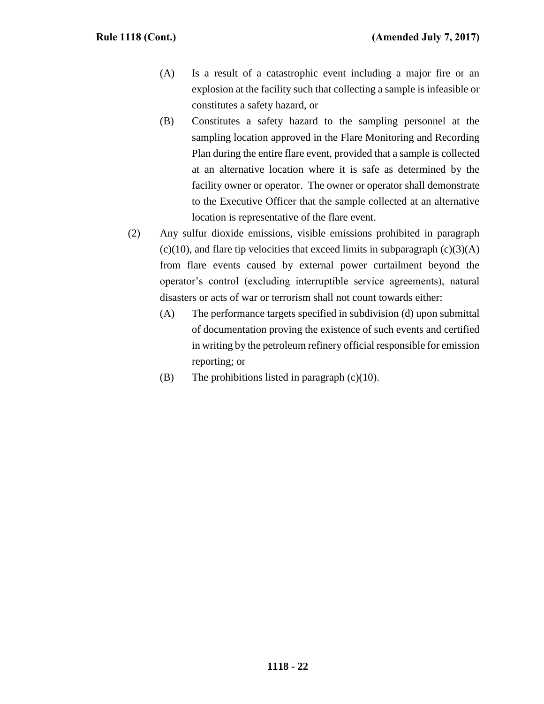- (A) Is a result of a catastrophic event including a major fire or an explosion at the facility such that collecting a sample is infeasible or constitutes a safety hazard, or
- (B) Constitutes a safety hazard to the sampling personnel at the sampling location approved in the Flare Monitoring and Recording Plan during the entire flare event, provided that a sample is collected at an alternative location where it is safe as determined by the facility owner or operator. The owner or operator shall demonstrate to the Executive Officer that the sample collected at an alternative location is representative of the flare event.
- (2) Any sulfur dioxide emissions, visible emissions prohibited in paragraph  $(c)(10)$ , and flare tip velocities that exceed limits in subparagraph  $(c)(3)(A)$ from flare events caused by external power curtailment beyond the operator's control (excluding interruptible service agreements), natural disasters or acts of war or terrorism shall not count towards either:
	- (A) The performance targets specified in subdivision (d) upon submittal of documentation proving the existence of such events and certified in writing by the petroleum refinery official responsible for emission reporting; or
	- (B) The prohibitions listed in paragraph  $(c)(10)$ .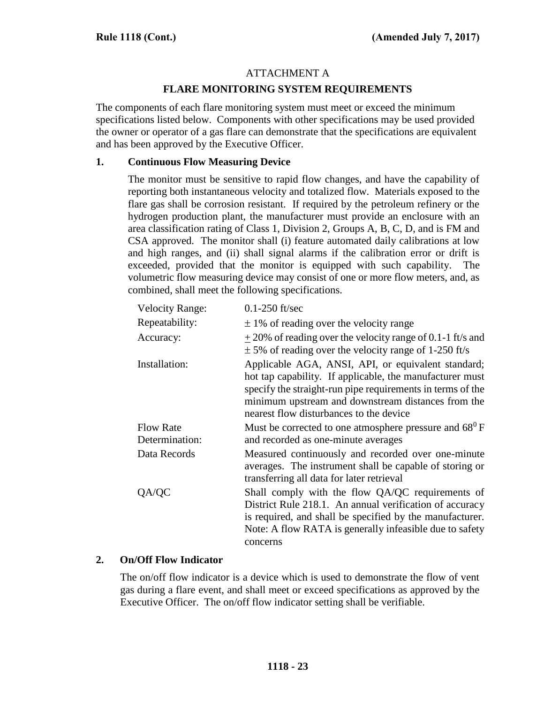# ATTACHMENT A

## **FLARE MONITORING SYSTEM REQUIREMENTS**

The components of each flare monitoring system must meet or exceed the minimum specifications listed below. Components with other specifications may be used provided the owner or operator of a gas flare can demonstrate that the specifications are equivalent and has been approved by the Executive Officer.

## **1. Continuous Flow Measuring Device**

The monitor must be sensitive to rapid flow changes, and have the capability of reporting both instantaneous velocity and totalized flow. Materials exposed to the flare gas shall be corrosion resistant. If required by the petroleum refinery or the hydrogen production plant, the manufacturer must provide an enclosure with an area classification rating of Class 1, Division 2, Groups A, B, C, D, and is FM and CSA approved. The monitor shall (i) feature automated daily calibrations at low and high ranges, and (ii) shall signal alarms if the calibration error or drift is exceeded, provided that the monitor is equipped with such capability. The volumetric flow measuring device may consist of one or more flow meters, and, as combined, shall meet the following specifications.

| <b>Velocity Range:</b>             | $0.1 - 250$ ft/sec                                                                                                                                                                                                                                                            |
|------------------------------------|-------------------------------------------------------------------------------------------------------------------------------------------------------------------------------------------------------------------------------------------------------------------------------|
| Repeatability:                     | $\pm$ 1% of reading over the velocity range                                                                                                                                                                                                                                   |
| Accuracy:                          | $\pm$ 20% of reading over the velocity range of 0.1-1 ft/s and<br>$\pm$ 5% of reading over the velocity range of 1-250 ft/s                                                                                                                                                   |
| Installation:                      | Applicable AGA, ANSI, API, or equivalent standard;<br>hot tap capability. If applicable, the manufacturer must<br>specify the straight-run pipe requirements in terms of the<br>minimum upstream and downstream distances from the<br>nearest flow disturbances to the device |
| <b>Flow Rate</b><br>Determination: | Must be corrected to one atmosphere pressure and $68^{\circ}$ F<br>and recorded as one-minute averages                                                                                                                                                                        |
| Data Records                       | Measured continuously and recorded over one-minute<br>averages. The instrument shall be capable of storing or<br>transferring all data for later retrieval                                                                                                                    |
| QA/QC                              | Shall comply with the flow QA/QC requirements of<br>District Rule 218.1. An annual verification of accuracy<br>is required, and shall be specified by the manufacturer.<br>Note: A flow RATA is generally infeasible due to safety<br>concerns                                |

## **2. On/Off Flow Indicator**

The on/off flow indicator is a device which is used to demonstrate the flow of vent gas during a flare event, and shall meet or exceed specifications as approved by the Executive Officer. The on/off flow indicator setting shall be verifiable.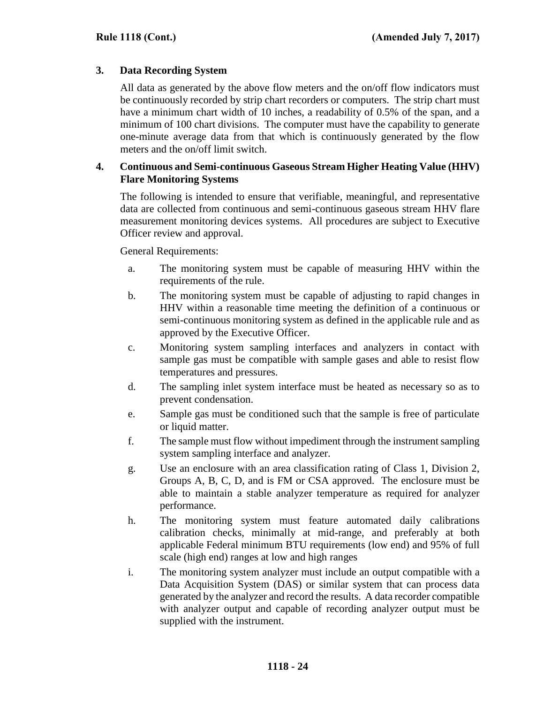## **3. Data Recording System**

All data as generated by the above flow meters and the on/off flow indicators must be continuously recorded by strip chart recorders or computers. The strip chart must have a minimum chart width of 10 inches, a readability of 0.5% of the span, and a minimum of 100 chart divisions. The computer must have the capability to generate one-minute average data from that which is continuously generated by the flow meters and the on/off limit switch.

## **4. Continuous and Semi-continuous Gaseous Stream Higher Heating Value (HHV) Flare Monitoring Systems**

The following is intended to ensure that verifiable, meaningful, and representative data are collected from continuous and semi-continuous gaseous stream HHV flare measurement monitoring devices systems. All procedures are subject to Executive Officer review and approval.

General Requirements:

- a. The monitoring system must be capable of measuring HHV within the requirements of the rule.
- b. The monitoring system must be capable of adjusting to rapid changes in HHV within a reasonable time meeting the definition of a continuous or semi-continuous monitoring system as defined in the applicable rule and as approved by the Executive Officer.
- c. Monitoring system sampling interfaces and analyzers in contact with sample gas must be compatible with sample gases and able to resist flow temperatures and pressures.
- d. The sampling inlet system interface must be heated as necessary so as to prevent condensation.
- e. Sample gas must be conditioned such that the sample is free of particulate or liquid matter.
- f. The sample must flow without impediment through the instrument sampling system sampling interface and analyzer.
- g. Use an enclosure with an area classification rating of Class 1, Division 2, Groups A, B, C, D, and is FM or CSA approved. The enclosure must be able to maintain a stable analyzer temperature as required for analyzer performance.
- h. The monitoring system must feature automated daily calibrations calibration checks, minimally at mid-range, and preferably at both applicable Federal minimum BTU requirements (low end) and 95% of full scale (high end) ranges at low and high ranges
- i. The monitoring system analyzer must include an output compatible with a Data Acquisition System (DAS) or similar system that can process data generated by the analyzer and record the results. A data recorder compatible with analyzer output and capable of recording analyzer output must be supplied with the instrument.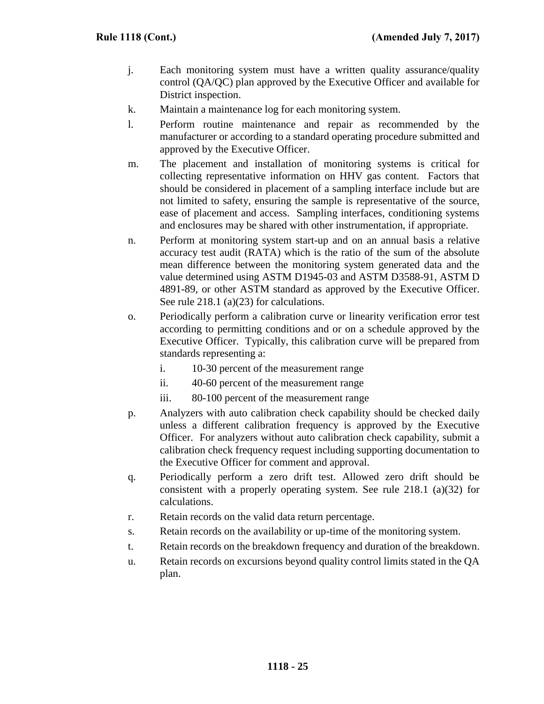- j. Each monitoring system must have a written quality assurance/quality control (QA/QC) plan approved by the Executive Officer and available for District inspection.
- k. Maintain a maintenance log for each monitoring system.
- l. Perform routine maintenance and repair as recommended by the manufacturer or according to a standard operating procedure submitted and approved by the Executive Officer.
- m. The placement and installation of monitoring systems is critical for collecting representative information on HHV gas content. Factors that should be considered in placement of a sampling interface include but are not limited to safety, ensuring the sample is representative of the source, ease of placement and access. Sampling interfaces, conditioning systems and enclosures may be shared with other instrumentation, if appropriate.
- n. Perform at monitoring system start-up and on an annual basis a relative accuracy test audit (RATA) which is the ratio of the sum of the absolute mean difference between the monitoring system generated data and the value determined using ASTM D1945-03 and ASTM D3588-91, ASTM D 4891-89, or other ASTM standard as approved by the Executive Officer. See rule 218.1 (a)(23) for calculations.
- o. Periodically perform a calibration curve or linearity verification error test according to permitting conditions and or on a schedule approved by the Executive Officer. Typically, this calibration curve will be prepared from standards representing a:
	- i. 10-30 percent of the measurement range
	- ii. 40-60 percent of the measurement range
	- iii. 80-100 percent of the measurement range
- p. Analyzers with auto calibration check capability should be checked daily unless a different calibration frequency is approved by the Executive Officer. For analyzers without auto calibration check capability, submit a calibration check frequency request including supporting documentation to the Executive Officer for comment and approval.
- q. Periodically perform a zero drift test. Allowed zero drift should be consistent with a properly operating system. See rule 218.1 (a)(32) for calculations.
- r. Retain records on the valid data return percentage.
- s. Retain records on the availability or up-time of the monitoring system.
- t. Retain records on the breakdown frequency and duration of the breakdown.
- u. Retain records on excursions beyond quality control limits stated in the QA plan.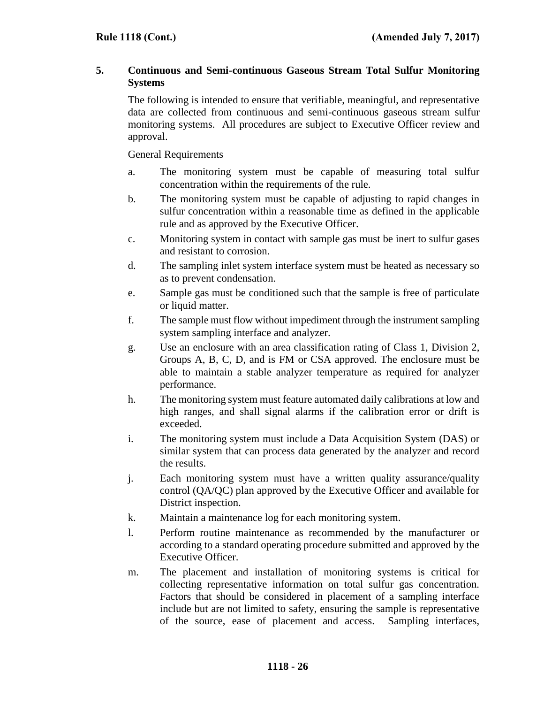# **5. Continuous and Semi-continuous Gaseous Stream Total Sulfur Monitoring Systems**

The following is intended to ensure that verifiable, meaningful, and representative data are collected from continuous and semi-continuous gaseous stream sulfur monitoring systems. All procedures are subject to Executive Officer review and approval.

General Requirements

- a. The monitoring system must be capable of measuring total sulfur concentration within the requirements of the rule.
- b. The monitoring system must be capable of adjusting to rapid changes in sulfur concentration within a reasonable time as defined in the applicable rule and as approved by the Executive Officer.
- c. Monitoring system in contact with sample gas must be inert to sulfur gases and resistant to corrosion.
- d. The sampling inlet system interface system must be heated as necessary so as to prevent condensation.
- e. Sample gas must be conditioned such that the sample is free of particulate or liquid matter.
- f. The sample must flow without impediment through the instrument sampling system sampling interface and analyzer.
- g. Use an enclosure with an area classification rating of Class 1, Division 2, Groups A, B, C, D, and is FM or CSA approved. The enclosure must be able to maintain a stable analyzer temperature as required for analyzer performance.
- h. The monitoring system must feature automated daily calibrations at low and high ranges, and shall signal alarms if the calibration error or drift is exceeded.
- i. The monitoring system must include a Data Acquisition System (DAS) or similar system that can process data generated by the analyzer and record the results.
- j. Each monitoring system must have a written quality assurance/quality control (QA/QC) plan approved by the Executive Officer and available for District inspection.
- k. Maintain a maintenance log for each monitoring system.
- l. Perform routine maintenance as recommended by the manufacturer or according to a standard operating procedure submitted and approved by the Executive Officer.
- m. The placement and installation of monitoring systems is critical for collecting representative information on total sulfur gas concentration. Factors that should be considered in placement of a sampling interface include but are not limited to safety, ensuring the sample is representative of the source, ease of placement and access. Sampling interfaces,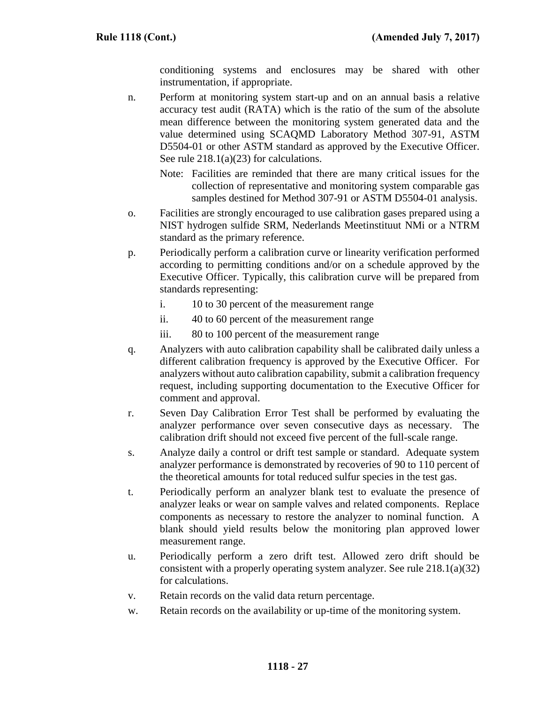conditioning systems and enclosures may be shared with other instrumentation, if appropriate.

- n. Perform at monitoring system start-up and on an annual basis a relative accuracy test audit (RATA) which is the ratio of the sum of the absolute mean difference between the monitoring system generated data and the value determined using SCAQMD Laboratory Method 307-91, ASTM D5504-01 or other ASTM standard as approved by the Executive Officer. See rule 218.1(a)(23) for calculations.
	- Note: Facilities are reminded that there are many critical issues for the collection of representative and monitoring system comparable gas samples destined for Method 307-91 or ASTM D5504-01 analysis.
- o. Facilities are strongly encouraged to use calibration gases prepared using a NIST hydrogen sulfide SRM, Nederlands Meetinstituut NMi or a NTRM standard as the primary reference.
- p. Periodically perform a calibration curve or linearity verification performed according to permitting conditions and/or on a schedule approved by the Executive Officer. Typically, this calibration curve will be prepared from standards representing:
	- i. 10 to 30 percent of the measurement range
	- ii. 40 to 60 percent of the measurement range
	- iii. 80 to 100 percent of the measurement range
- q. Analyzers with auto calibration capability shall be calibrated daily unless a different calibration frequency is approved by the Executive Officer. For analyzers without auto calibration capability, submit a calibration frequency request, including supporting documentation to the Executive Officer for comment and approval.
- r. Seven Day Calibration Error Test shall be performed by evaluating the analyzer performance over seven consecutive days as necessary. The calibration drift should not exceed five percent of the full-scale range.
- s. Analyze daily a control or drift test sample or standard. Adequate system analyzer performance is demonstrated by recoveries of 90 to 110 percent of the theoretical amounts for total reduced sulfur species in the test gas.
- t. Periodically perform an analyzer blank test to evaluate the presence of analyzer leaks or wear on sample valves and related components. Replace components as necessary to restore the analyzer to nominal function. A blank should yield results below the monitoring plan approved lower measurement range.
- u. Periodically perform a zero drift test. Allowed zero drift should be consistent with a properly operating system analyzer. See rule 218.1(a)(32) for calculations.
- v. Retain records on the valid data return percentage.
- w. Retain records on the availability or up-time of the monitoring system.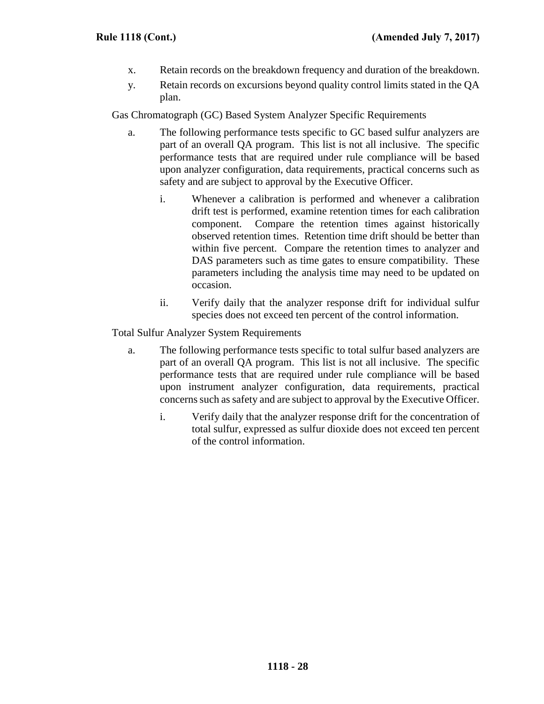- x. Retain records on the breakdown frequency and duration of the breakdown.
- y. Retain records on excursions beyond quality control limits stated in the QA plan.

Gas Chromatograph (GC) Based System Analyzer Specific Requirements

- a. The following performance tests specific to GC based sulfur analyzers are part of an overall QA program. This list is not all inclusive. The specific performance tests that are required under rule compliance will be based upon analyzer configuration, data requirements, practical concerns such as safety and are subject to approval by the Executive Officer.
	- i. Whenever a calibration is performed and whenever a calibration drift test is performed, examine retention times for each calibration component. Compare the retention times against historically observed retention times. Retention time drift should be better than within five percent. Compare the retention times to analyzer and DAS parameters such as time gates to ensure compatibility. These parameters including the analysis time may need to be updated on occasion.
	- ii. Verify daily that the analyzer response drift for individual sulfur species does not exceed ten percent of the control information.

Total Sulfur Analyzer System Requirements

- a. The following performance tests specific to total sulfur based analyzers are part of an overall QA program. This list is not all inclusive. The specific performance tests that are required under rule compliance will be based upon instrument analyzer configuration, data requirements, practical concerns such as safety and are subject to approval by the Executive Officer.
	- i. Verify daily that the analyzer response drift for the concentration of total sulfur, expressed as sulfur dioxide does not exceed ten percent of the control information.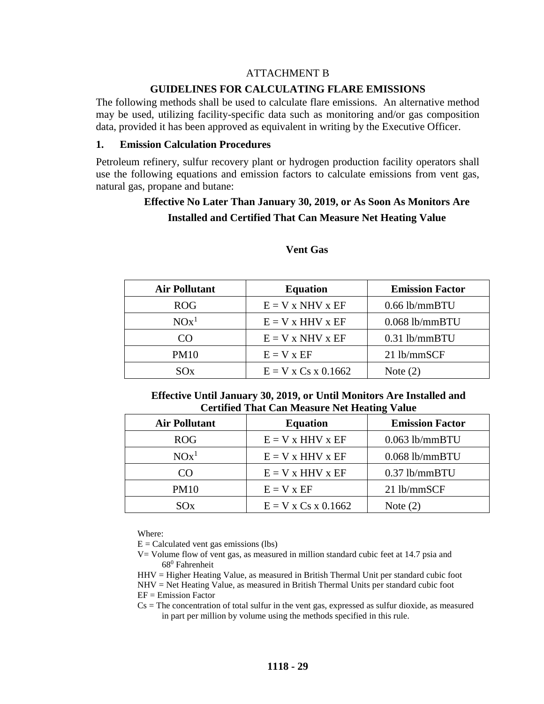## ATTACHMENT B

#### **GUIDELINES FOR CALCULATING FLARE EMISSIONS**

The following methods shall be used to calculate flare emissions. An alternative method may be used, utilizing facility-specific data such as monitoring and/or gas composition data, provided it has been approved as equivalent in writing by the Executive Officer.

#### **1. Emission Calculation Procedures**

Petroleum refinery, sulfur recovery plant or hydrogen production facility operators shall use the following equations and emission factors to calculate emissions from vent gas, natural gas, propane and butane:

# **Effective No Later Than January 30, 2019, or As Soon As Monitors Are Installed and Certified That Can Measure Net Heating Value**

| <b>Air Pollutant</b> | <b>Equation</b>       | <b>Emission Factor</b> |
|----------------------|-----------------------|------------------------|
| <b>ROG</b>           | $E = V x NHV x EF$    | $0.66$ lb/mmBTU        |
| $NOx^1$              | $E = V x HHV x EF$    | $0.068$ lb/mmBTU       |
| CO                   | $E = V x NHV x EF$    | $0.31$ lb/mmBTU        |
| <b>PM10</b>          | $E = V x EF$          | 21 lb/mmSCF            |
| SOx                  | $E = V x Cs x 0.1662$ | Note $(2)$             |

#### **Vent Gas**

## **Effective Until January 30, 2019, or Until Monitors Are Installed and Certified That Can Measure Net Heating Value**

| <b>Air Pollutant</b> | <b>Equation</b>       | <b>Emission Factor</b> |
|----------------------|-----------------------|------------------------|
| ROG                  | $E = V x HHV x EF$    | $0.063$ lb/mmBTU       |
| $NOx^1$              | $E = V x$ HHV x EF    | $0.068$ lb/mmBTU       |
| ന                    | $E = V x HHV x EF$    | $0.37$ lb/mmBTU        |
| <b>PM10</b>          | $E = V x EF$          | 21 lb/mmSCF            |
| SOx                  | $E = V x Cs x 0.1662$ | Note $(2)$             |

Where:

 $E =$  Calculated vent gas emissions (lbs)

V= Volume flow of vent gas, as measured in million standard cubic feet at 14.7 psia and 68<sup>0</sup> Fahrenheit

HHV = Higher Heating Value, as measured in British Thermal Unit per standard cubic foot NHV = Net Heating Value, as measured in British Thermal Units per standard cubic foot EF = Emission Factor

 $Cs = The concentration of total sulfur in the vent gas, expressed as sulfur dioxide, as measured$ in part per million by volume using the methods specified in this rule.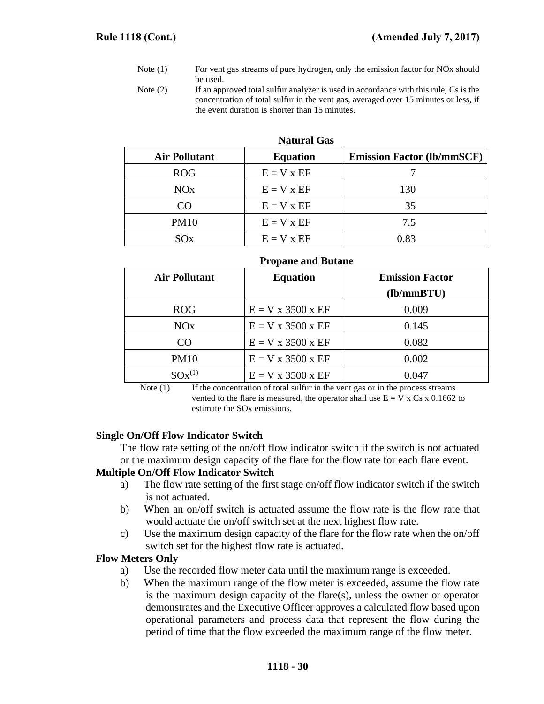- Note (1) For vent gas streams of pure hydrogen, only the emission factor for NOx should be used.
- Note (2) If an approved total sulfur analyzer is used in accordance with this rule, Cs is the concentration of total sulfur in the vent gas, averaged over 15 minutes or less, if the event duration is shorter than 15 minutes.

| <b>Air Pollutant</b> | <b>Equation</b> | <b>Emission Factor (lb/mmSCF)</b> |
|----------------------|-----------------|-----------------------------------|
| <b>ROG</b>           | $E = V x EF$    |                                   |
| NOx                  | $E = V x EF$    | 130                               |
| CO                   | $E = V x EF$    | 35                                |
| <b>PM10</b>          | $E = V x EF$    | 7.5                               |
| SOx                  | $E = V x EF$    | 0.83                              |

**Natural Gas**

| <b>Air Pollutant</b> | $10$ pane and $2$ dense<br><b>Equation</b> | <b>Emission Factor</b> |
|----------------------|--------------------------------------------|------------------------|
|                      |                                            | (lb/mm B T U)          |
| <b>ROG</b>           | $E = V x 3500 x EF$                        | 0.009                  |
| NOx                  | $E = V x 3500 x EF$                        | 0.145                  |
| CO                   | $E = V x 3500 x EF$                        | 0.082                  |
| <b>PM10</b>          | $E = V x 3500 x EF$                        | 0.002                  |
| $SOx^{(1)}$          | $E = V \times 3500 \times EF$              | 0.047                  |

#### **Propane and Butane**

Note  $(1)$  If the concentration of total sulfur in the vent gas or in the process streams vented to the flare is measured, the operator shall use  $E = V \times Cs \times 0.1662$  to estimate the SOx emissions.

#### **Single On/Off Flow Indicator Switch**

The flow rate setting of the on/off flow indicator switch if the switch is not actuated or the maximum design capacity of the flare for the flow rate for each flare event.

#### **Multiple On/Off Flow Indicator Switch**

- a) The flow rate setting of the first stage on/off flow indicator switch if the switch is not actuated.
- b) When an on/off switch is actuated assume the flow rate is the flow rate that would actuate the on/off switch set at the next highest flow rate.
- c) Use the maximum design capacity of the flare for the flow rate when the on/off switch set for the highest flow rate is actuated.

#### **Flow Meters Only**

- a) Use the recorded flow meter data until the maximum range is exceeded.
- b) When the maximum range of the flow meter is exceeded, assume the flow rate is the maximum design capacity of the flare(s), unless the owner or operator demonstrates and the Executive Officer approves a calculated flow based upon operational parameters and process data that represent the flow during the period of time that the flow exceeded the maximum range of the flow meter.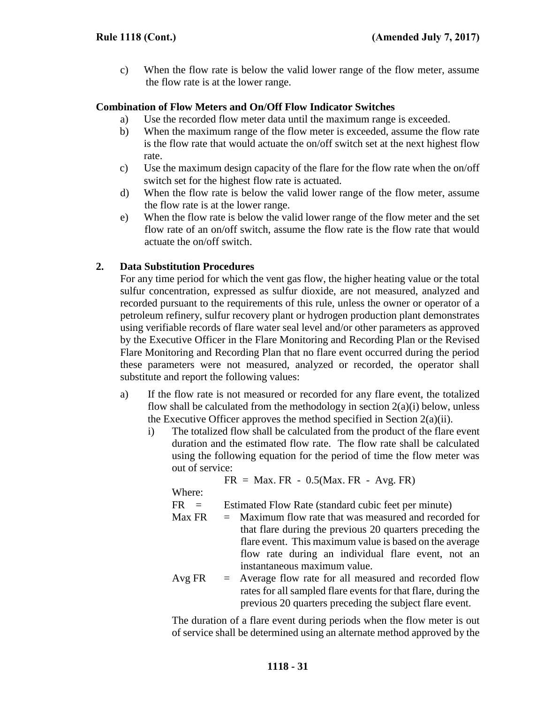c) When the flow rate is below the valid lower range of the flow meter, assume the flow rate is at the lower range.

## **Combination of Flow Meters and On/Off Flow Indicator Switches**

- a) Use the recorded flow meter data until the maximum range is exceeded.
- b) When the maximum range of the flow meter is exceeded, assume the flow rate is the flow rate that would actuate the on/off switch set at the next highest flow rate.
- c) Use the maximum design capacity of the flare for the flow rate when the on/off switch set for the highest flow rate is actuated.
- d) When the flow rate is below the valid lower range of the flow meter, assume the flow rate is at the lower range.
- e) When the flow rate is below the valid lower range of the flow meter and the set flow rate of an on/off switch, assume the flow rate is the flow rate that would actuate the on/off switch.

## **2. Data Substitution Procedures**

For any time period for which the vent gas flow, the higher heating value or the total sulfur concentration, expressed as sulfur dioxide, are not measured, analyzed and recorded pursuant to the requirements of this rule, unless the owner or operator of a petroleum refinery, sulfur recovery plant or hydrogen production plant demonstrates using verifiable records of flare water seal level and/or other parameters as approved by the Executive Officer in the Flare Monitoring and Recording Plan or the Revised Flare Monitoring and Recording Plan that no flare event occurred during the period these parameters were not measured, analyzed or recorded, the operator shall substitute and report the following values:

- a) If the flow rate is not measured or recorded for any flare event, the totalized flow shall be calculated from the methodology in section  $2(a)(i)$  below, unless the Executive Officer approves the method specified in Section  $2(a)(ii)$ .
	- i) The totalized flow shall be calculated from the product of the flare event duration and the estimated flow rate. The flow rate shall be calculated using the following equation for the period of time the flow meter was out of service:

$$
FR = Max.FR - 0.5(Max.FR - Avg.FR)
$$

Where:

FR = Estimated Flow Rate (standard cubic feet per minute)

- Max  $FR =$  Maximum flow rate that was measured and recorded for that flare during the previous 20 quarters preceding the flare event. This maximum value is based on the average flow rate during an individual flare event, not an instantaneous maximum value.
- Avg  $FR =$  Average flow rate for all measured and recorded flow rates for all sampled flare events for that flare, during the previous 20 quarters preceding the subject flare event.

The duration of a flare event during periods when the flow meter is out of service shall be determined using an alternate method approved by the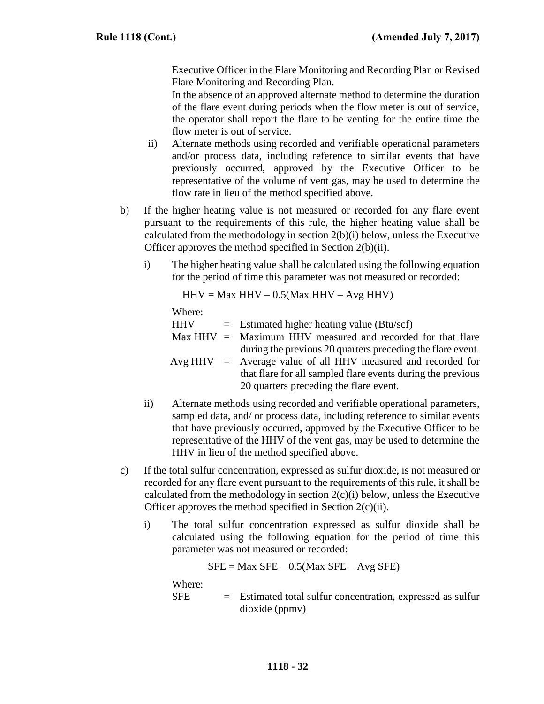Executive Officer in the Flare Monitoring and Recording Plan or Revised Flare Monitoring and Recording Plan.

In the absence of an approved alternate method to determine the duration of the flare event during periods when the flow meter is out of service, the operator shall report the flare to be venting for the entire time the flow meter is out of service.

- ii) Alternate methods using recorded and verifiable operational parameters and/or process data, including reference to similar events that have previously occurred, approved by the Executive Officer to be representative of the volume of vent gas, may be used to determine the flow rate in lieu of the method specified above.
- b) If the higher heating value is not measured or recorded for any flare event pursuant to the requirements of this rule, the higher heating value shall be calculated from the methodology in section 2(b)(i) below, unless the Executive Officer approves the method specified in Section 2(b)(ii).
	- i) The higher heating value shall be calculated using the following equation for the period of time this parameter was not measured or recorded:

$$
HHV = Max HHV - 0.5(Max HHV - Avg HHV)
$$

Where:  $HHV =$  Estimated higher heating value (Btu/scf) Max  $HHV =$  Maximum HHV measured and recorded for that flare during the previous 20 quarters preceding the flare event. Avg  $HHV$  = Average value of all  $HHV$  measured and recorded for that flare for all sampled flare events during the previous 20 quarters preceding the flare event.

- ii) Alternate methods using recorded and verifiable operational parameters, sampled data, and/ or process data, including reference to similar events that have previously occurred, approved by the Executive Officer to be representative of the HHV of the vent gas, may be used to determine the HHV in lieu of the method specified above.
- c) If the total sulfur concentration, expressed as sulfur dioxide, is not measured or recorded for any flare event pursuant to the requirements of this rule, it shall be calculated from the methodology in section  $2(c)(i)$  below, unless the Executive Officer approves the method specified in Section 2(c)(ii).
	- i) The total sulfur concentration expressed as sulfur dioxide shall be calculated using the following equation for the period of time this parameter was not measured or recorded:

 $SFE = Max SFE - 0.5(Max SFE - Avg SFE)$ 

Where:

SFE = Estimated total sulfur concentration, expressed as sulfur dioxide (ppmv)